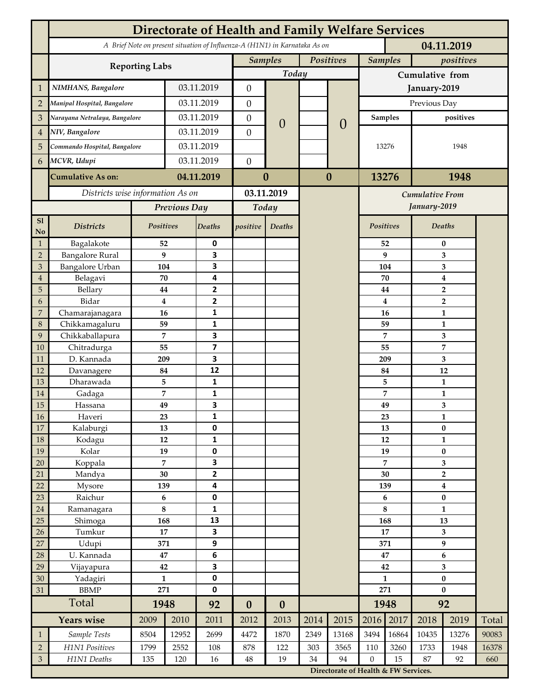| A Brief Note on present situation of Influenza-A (H1N1) in Karnataka As on<br>Positives<br><b>Samples</b><br><b>Samples</b><br><b>Reporting Labs</b><br>Today<br>Cumulative from<br>NIMHANS, Bangalore<br>03.11.2019<br>$\boldsymbol{0}$<br>$\mathbf{1}$<br>January-2019<br>03.11.2019<br>Previous Day<br>$\boldsymbol{0}$<br>$\overline{2}$<br>Manipal Hospital, Bangalore<br>03.11.2019<br>Narayana Netralaya, Bangalore<br>$\boldsymbol{0}$<br><b>Samples</b><br>3<br>$\overline{0}$<br>$\theta$<br>03.11.2019<br>NIV, Bangalore<br>$\theta$<br>$\overline{4}$<br>03.11.2019<br>Commando Hospital, Bangalore<br>5<br>13276<br>1948<br>03.11.2019<br>$\boldsymbol{0}$<br>MCVR, Udupi<br>6<br>04.11.2019<br>$\bf{0}$<br>$\bf{0}$<br>13276<br>1948<br><b>Cumulative As on:</b><br>Districts wise information As on<br>03.11.2019<br><b>Cumulative From</b><br>January-2019<br>Previous Day<br>Today<br>S1<br>Positives<br>Positives<br>Deaths<br><b>Districts</b><br>Deaths<br>positive<br>Deaths<br>No<br>Bagalakote<br>52<br>0<br>52<br>$\mathbf{1}$<br>$\bf{0}$<br><b>Bangalore Rural</b><br>9<br>3<br>9<br>$\overline{2}$<br>3<br>Bangalore Urban<br>3<br>3<br>104<br>104<br>3<br>4<br>Belagavi<br>70<br>70<br>$\boldsymbol{4}$<br>$\overline{4}$<br>2<br>5<br>Bellary<br>44<br>44<br>$\overline{2}$<br>$\mathbf{2}$<br>Bidar<br>$\bf{4}$<br>4<br>$\overline{2}$<br>6<br>Chamarajanagara<br>7<br>16<br>1<br>16<br>1<br>Chikkamagaluru<br>1<br>8<br>59<br>59<br>1<br>Chikkaballapura<br>7<br>3<br>7<br>9<br>3<br>$\overline{\mathbf{z}}$<br>7<br>10<br>Chitradurga<br>55<br>55<br>D. Kannada<br>3<br>11<br>209<br>209<br>3<br>12<br>12<br>Davanagere<br>84<br>84<br>12<br>Dharawada<br>5<br>$\mathbf{1}$<br>5<br>13<br>$\mathbf{1}$<br>1<br>7<br>7<br>14<br>Gadaga<br>1<br>3<br>49<br>3<br>15<br>49<br>Hassana<br><b>16</b><br>Haveri<br>23<br>1<br>23<br>1<br>17<br>0<br>$\pmb{0}$<br>Kalaburgi<br>13<br>13<br>18<br>12<br>$\mathbf{1}$<br>Kodagu<br>12<br>$\mathbf{1}$<br>19<br>19<br>0<br>Kolar<br>$\pmb{0}$<br>19<br>$\overline{7}$<br>3<br>7<br>Koppala<br>3<br>20<br>$\mathbf{2}$<br>Mandya<br>$30\,$<br>30<br>$\mathbf 2$<br>21<br>22<br>4<br>Mysore<br>139<br>139<br>$\boldsymbol{4}$<br>$\pmb{0}$<br>23<br>Raichur<br>$\bf 6$<br>6<br>$\pmb{0}$<br>8<br>8<br>1<br>$24\,$<br>Ramanagara<br>$\mathbf{1}$<br>25<br>168<br>13<br>Shimoga<br>168<br>13<br>17<br>3<br>26<br>Tumkur<br>17<br>3<br>27<br>9<br>$\boldsymbol{9}$<br>Udupi<br>371<br>371<br>28<br>U. Kannada<br>$\bf 47$<br>$\bf 6$<br>$\bf 6$<br>47<br>3<br>$\overline{\mathbf{3}}$<br>29<br>Vijayapura<br>42<br>42<br>0<br>$\mathbf{1}$<br>30<br>Yadagiri<br>$\mathbf{1}$<br>$\pmb{0}$<br><b>BBMP</b><br>0<br>271<br>271<br>$\bf{0}$<br>31 |                   |  |  |  |  |  | <b>Directorate of Health and Family Welfare Services</b> |  |      |  |              |           |  |           |     |       |
|---------------------------------------------------------------------------------------------------------------------------------------------------------------------------------------------------------------------------------------------------------------------------------------------------------------------------------------------------------------------------------------------------------------------------------------------------------------------------------------------------------------------------------------------------------------------------------------------------------------------------------------------------------------------------------------------------------------------------------------------------------------------------------------------------------------------------------------------------------------------------------------------------------------------------------------------------------------------------------------------------------------------------------------------------------------------------------------------------------------------------------------------------------------------------------------------------------------------------------------------------------------------------------------------------------------------------------------------------------------------------------------------------------------------------------------------------------------------------------------------------------------------------------------------------------------------------------------------------------------------------------------------------------------------------------------------------------------------------------------------------------------------------------------------------------------------------------------------------------------------------------------------------------------------------------------------------------------------------------------------------------------------------------------------------------------------------------------------------------------------------------------------------------------------------------------------------------------------------------------------------------------------------------------------------------------------------------------------------------------------------------------------------------------------------------------------------------------------------------------------------------------------------------------------------------------------------------------------------------------------------------------------------------------------------------------------------------------|-------------------|--|--|--|--|--|----------------------------------------------------------|--|------|--|--------------|-----------|--|-----------|-----|-------|
|                                                                                                                                                                                                                                                                                                                                                                                                                                                                                                                                                                                                                                                                                                                                                                                                                                                                                                                                                                                                                                                                                                                                                                                                                                                                                                                                                                                                                                                                                                                                                                                                                                                                                                                                                                                                                                                                                                                                                                                                                                                                                                                                                                                                                                                                                                                                                                                                                                                                                                                                                                                                                                                                                                               | 04.11.2019        |  |  |  |  |  |                                                          |  |      |  |              |           |  |           |     |       |
|                                                                                                                                                                                                                                                                                                                                                                                                                                                                                                                                                                                                                                                                                                                                                                                                                                                                                                                                                                                                                                                                                                                                                                                                                                                                                                                                                                                                                                                                                                                                                                                                                                                                                                                                                                                                                                                                                                                                                                                                                                                                                                                                                                                                                                                                                                                                                                                                                                                                                                                                                                                                                                                                                                               |                   |  |  |  |  |  |                                                          |  |      |  |              |           |  | positives |     |       |
|                                                                                                                                                                                                                                                                                                                                                                                                                                                                                                                                                                                                                                                                                                                                                                                                                                                                                                                                                                                                                                                                                                                                                                                                                                                                                                                                                                                                                                                                                                                                                                                                                                                                                                                                                                                                                                                                                                                                                                                                                                                                                                                                                                                                                                                                                                                                                                                                                                                                                                                                                                                                                                                                                                               |                   |  |  |  |  |  |                                                          |  |      |  |              |           |  |           |     |       |
|                                                                                                                                                                                                                                                                                                                                                                                                                                                                                                                                                                                                                                                                                                                                                                                                                                                                                                                                                                                                                                                                                                                                                                                                                                                                                                                                                                                                                                                                                                                                                                                                                                                                                                                                                                                                                                                                                                                                                                                                                                                                                                                                                                                                                                                                                                                                                                                                                                                                                                                                                                                                                                                                                                               |                   |  |  |  |  |  |                                                          |  |      |  |              |           |  |           |     |       |
|                                                                                                                                                                                                                                                                                                                                                                                                                                                                                                                                                                                                                                                                                                                                                                                                                                                                                                                                                                                                                                                                                                                                                                                                                                                                                                                                                                                                                                                                                                                                                                                                                                                                                                                                                                                                                                                                                                                                                                                                                                                                                                                                                                                                                                                                                                                                                                                                                                                                                                                                                                                                                                                                                                               |                   |  |  |  |  |  |                                                          |  |      |  |              |           |  |           |     |       |
|                                                                                                                                                                                                                                                                                                                                                                                                                                                                                                                                                                                                                                                                                                                                                                                                                                                                                                                                                                                                                                                                                                                                                                                                                                                                                                                                                                                                                                                                                                                                                                                                                                                                                                                                                                                                                                                                                                                                                                                                                                                                                                                                                                                                                                                                                                                                                                                                                                                                                                                                                                                                                                                                                                               |                   |  |  |  |  |  |                                                          |  |      |  |              | positives |  |           |     |       |
|                                                                                                                                                                                                                                                                                                                                                                                                                                                                                                                                                                                                                                                                                                                                                                                                                                                                                                                                                                                                                                                                                                                                                                                                                                                                                                                                                                                                                                                                                                                                                                                                                                                                                                                                                                                                                                                                                                                                                                                                                                                                                                                                                                                                                                                                                                                                                                                                                                                                                                                                                                                                                                                                                                               |                   |  |  |  |  |  |                                                          |  |      |  |              |           |  |           |     |       |
|                                                                                                                                                                                                                                                                                                                                                                                                                                                                                                                                                                                                                                                                                                                                                                                                                                                                                                                                                                                                                                                                                                                                                                                                                                                                                                                                                                                                                                                                                                                                                                                                                                                                                                                                                                                                                                                                                                                                                                                                                                                                                                                                                                                                                                                                                                                                                                                                                                                                                                                                                                                                                                                                                                               |                   |  |  |  |  |  |                                                          |  |      |  |              |           |  |           |     |       |
|                                                                                                                                                                                                                                                                                                                                                                                                                                                                                                                                                                                                                                                                                                                                                                                                                                                                                                                                                                                                                                                                                                                                                                                                                                                                                                                                                                                                                                                                                                                                                                                                                                                                                                                                                                                                                                                                                                                                                                                                                                                                                                                                                                                                                                                                                                                                                                                                                                                                                                                                                                                                                                                                                                               |                   |  |  |  |  |  |                                                          |  |      |  |              |           |  |           |     |       |
|                                                                                                                                                                                                                                                                                                                                                                                                                                                                                                                                                                                                                                                                                                                                                                                                                                                                                                                                                                                                                                                                                                                                                                                                                                                                                                                                                                                                                                                                                                                                                                                                                                                                                                                                                                                                                                                                                                                                                                                                                                                                                                                                                                                                                                                                                                                                                                                                                                                                                                                                                                                                                                                                                                               |                   |  |  |  |  |  |                                                          |  |      |  |              |           |  |           |     |       |
|                                                                                                                                                                                                                                                                                                                                                                                                                                                                                                                                                                                                                                                                                                                                                                                                                                                                                                                                                                                                                                                                                                                                                                                                                                                                                                                                                                                                                                                                                                                                                                                                                                                                                                                                                                                                                                                                                                                                                                                                                                                                                                                                                                                                                                                                                                                                                                                                                                                                                                                                                                                                                                                                                                               |                   |  |  |  |  |  |                                                          |  |      |  |              |           |  |           |     |       |
|                                                                                                                                                                                                                                                                                                                                                                                                                                                                                                                                                                                                                                                                                                                                                                                                                                                                                                                                                                                                                                                                                                                                                                                                                                                                                                                                                                                                                                                                                                                                                                                                                                                                                                                                                                                                                                                                                                                                                                                                                                                                                                                                                                                                                                                                                                                                                                                                                                                                                                                                                                                                                                                                                                               |                   |  |  |  |  |  |                                                          |  |      |  |              |           |  |           |     |       |
|                                                                                                                                                                                                                                                                                                                                                                                                                                                                                                                                                                                                                                                                                                                                                                                                                                                                                                                                                                                                                                                                                                                                                                                                                                                                                                                                                                                                                                                                                                                                                                                                                                                                                                                                                                                                                                                                                                                                                                                                                                                                                                                                                                                                                                                                                                                                                                                                                                                                                                                                                                                                                                                                                                               |                   |  |  |  |  |  |                                                          |  |      |  |              |           |  |           |     |       |
|                                                                                                                                                                                                                                                                                                                                                                                                                                                                                                                                                                                                                                                                                                                                                                                                                                                                                                                                                                                                                                                                                                                                                                                                                                                                                                                                                                                                                                                                                                                                                                                                                                                                                                                                                                                                                                                                                                                                                                                                                                                                                                                                                                                                                                                                                                                                                                                                                                                                                                                                                                                                                                                                                                               |                   |  |  |  |  |  |                                                          |  |      |  |              |           |  |           |     |       |
|                                                                                                                                                                                                                                                                                                                                                                                                                                                                                                                                                                                                                                                                                                                                                                                                                                                                                                                                                                                                                                                                                                                                                                                                                                                                                                                                                                                                                                                                                                                                                                                                                                                                                                                                                                                                                                                                                                                                                                                                                                                                                                                                                                                                                                                                                                                                                                                                                                                                                                                                                                                                                                                                                                               |                   |  |  |  |  |  |                                                          |  |      |  |              |           |  |           |     |       |
|                                                                                                                                                                                                                                                                                                                                                                                                                                                                                                                                                                                                                                                                                                                                                                                                                                                                                                                                                                                                                                                                                                                                                                                                                                                                                                                                                                                                                                                                                                                                                                                                                                                                                                                                                                                                                                                                                                                                                                                                                                                                                                                                                                                                                                                                                                                                                                                                                                                                                                                                                                                                                                                                                                               |                   |  |  |  |  |  |                                                          |  |      |  |              |           |  |           |     |       |
|                                                                                                                                                                                                                                                                                                                                                                                                                                                                                                                                                                                                                                                                                                                                                                                                                                                                                                                                                                                                                                                                                                                                                                                                                                                                                                                                                                                                                                                                                                                                                                                                                                                                                                                                                                                                                                                                                                                                                                                                                                                                                                                                                                                                                                                                                                                                                                                                                                                                                                                                                                                                                                                                                                               |                   |  |  |  |  |  |                                                          |  |      |  |              |           |  |           |     |       |
|                                                                                                                                                                                                                                                                                                                                                                                                                                                                                                                                                                                                                                                                                                                                                                                                                                                                                                                                                                                                                                                                                                                                                                                                                                                                                                                                                                                                                                                                                                                                                                                                                                                                                                                                                                                                                                                                                                                                                                                                                                                                                                                                                                                                                                                                                                                                                                                                                                                                                                                                                                                                                                                                                                               |                   |  |  |  |  |  |                                                          |  |      |  |              |           |  |           |     |       |
|                                                                                                                                                                                                                                                                                                                                                                                                                                                                                                                                                                                                                                                                                                                                                                                                                                                                                                                                                                                                                                                                                                                                                                                                                                                                                                                                                                                                                                                                                                                                                                                                                                                                                                                                                                                                                                                                                                                                                                                                                                                                                                                                                                                                                                                                                                                                                                                                                                                                                                                                                                                                                                                                                                               |                   |  |  |  |  |  |                                                          |  |      |  |              |           |  |           |     |       |
|                                                                                                                                                                                                                                                                                                                                                                                                                                                                                                                                                                                                                                                                                                                                                                                                                                                                                                                                                                                                                                                                                                                                                                                                                                                                                                                                                                                                                                                                                                                                                                                                                                                                                                                                                                                                                                                                                                                                                                                                                                                                                                                                                                                                                                                                                                                                                                                                                                                                                                                                                                                                                                                                                                               |                   |  |  |  |  |  |                                                          |  |      |  |              |           |  |           |     |       |
|                                                                                                                                                                                                                                                                                                                                                                                                                                                                                                                                                                                                                                                                                                                                                                                                                                                                                                                                                                                                                                                                                                                                                                                                                                                                                                                                                                                                                                                                                                                                                                                                                                                                                                                                                                                                                                                                                                                                                                                                                                                                                                                                                                                                                                                                                                                                                                                                                                                                                                                                                                                                                                                                                                               |                   |  |  |  |  |  |                                                          |  |      |  |              |           |  |           |     |       |
|                                                                                                                                                                                                                                                                                                                                                                                                                                                                                                                                                                                                                                                                                                                                                                                                                                                                                                                                                                                                                                                                                                                                                                                                                                                                                                                                                                                                                                                                                                                                                                                                                                                                                                                                                                                                                                                                                                                                                                                                                                                                                                                                                                                                                                                                                                                                                                                                                                                                                                                                                                                                                                                                                                               |                   |  |  |  |  |  |                                                          |  |      |  |              |           |  |           |     |       |
|                                                                                                                                                                                                                                                                                                                                                                                                                                                                                                                                                                                                                                                                                                                                                                                                                                                                                                                                                                                                                                                                                                                                                                                                                                                                                                                                                                                                                                                                                                                                                                                                                                                                                                                                                                                                                                                                                                                                                                                                                                                                                                                                                                                                                                                                                                                                                                                                                                                                                                                                                                                                                                                                                                               |                   |  |  |  |  |  |                                                          |  |      |  |              |           |  |           |     |       |
|                                                                                                                                                                                                                                                                                                                                                                                                                                                                                                                                                                                                                                                                                                                                                                                                                                                                                                                                                                                                                                                                                                                                                                                                                                                                                                                                                                                                                                                                                                                                                                                                                                                                                                                                                                                                                                                                                                                                                                                                                                                                                                                                                                                                                                                                                                                                                                                                                                                                                                                                                                                                                                                                                                               |                   |  |  |  |  |  |                                                          |  |      |  |              |           |  |           |     |       |
|                                                                                                                                                                                                                                                                                                                                                                                                                                                                                                                                                                                                                                                                                                                                                                                                                                                                                                                                                                                                                                                                                                                                                                                                                                                                                                                                                                                                                                                                                                                                                                                                                                                                                                                                                                                                                                                                                                                                                                                                                                                                                                                                                                                                                                                                                                                                                                                                                                                                                                                                                                                                                                                                                                               |                   |  |  |  |  |  |                                                          |  |      |  |              |           |  |           |     |       |
|                                                                                                                                                                                                                                                                                                                                                                                                                                                                                                                                                                                                                                                                                                                                                                                                                                                                                                                                                                                                                                                                                                                                                                                                                                                                                                                                                                                                                                                                                                                                                                                                                                                                                                                                                                                                                                                                                                                                                                                                                                                                                                                                                                                                                                                                                                                                                                                                                                                                                                                                                                                                                                                                                                               |                   |  |  |  |  |  |                                                          |  |      |  |              |           |  |           |     |       |
|                                                                                                                                                                                                                                                                                                                                                                                                                                                                                                                                                                                                                                                                                                                                                                                                                                                                                                                                                                                                                                                                                                                                                                                                                                                                                                                                                                                                                                                                                                                                                                                                                                                                                                                                                                                                                                                                                                                                                                                                                                                                                                                                                                                                                                                                                                                                                                                                                                                                                                                                                                                                                                                                                                               |                   |  |  |  |  |  |                                                          |  |      |  |              |           |  |           |     |       |
|                                                                                                                                                                                                                                                                                                                                                                                                                                                                                                                                                                                                                                                                                                                                                                                                                                                                                                                                                                                                                                                                                                                                                                                                                                                                                                                                                                                                                                                                                                                                                                                                                                                                                                                                                                                                                                                                                                                                                                                                                                                                                                                                                                                                                                                                                                                                                                                                                                                                                                                                                                                                                                                                                                               |                   |  |  |  |  |  |                                                          |  |      |  |              |           |  |           |     |       |
|                                                                                                                                                                                                                                                                                                                                                                                                                                                                                                                                                                                                                                                                                                                                                                                                                                                                                                                                                                                                                                                                                                                                                                                                                                                                                                                                                                                                                                                                                                                                                                                                                                                                                                                                                                                                                                                                                                                                                                                                                                                                                                                                                                                                                                                                                                                                                                                                                                                                                                                                                                                                                                                                                                               |                   |  |  |  |  |  |                                                          |  |      |  |              |           |  |           |     |       |
|                                                                                                                                                                                                                                                                                                                                                                                                                                                                                                                                                                                                                                                                                                                                                                                                                                                                                                                                                                                                                                                                                                                                                                                                                                                                                                                                                                                                                                                                                                                                                                                                                                                                                                                                                                                                                                                                                                                                                                                                                                                                                                                                                                                                                                                                                                                                                                                                                                                                                                                                                                                                                                                                                                               |                   |  |  |  |  |  |                                                          |  |      |  |              |           |  |           |     |       |
|                                                                                                                                                                                                                                                                                                                                                                                                                                                                                                                                                                                                                                                                                                                                                                                                                                                                                                                                                                                                                                                                                                                                                                                                                                                                                                                                                                                                                                                                                                                                                                                                                                                                                                                                                                                                                                                                                                                                                                                                                                                                                                                                                                                                                                                                                                                                                                                                                                                                                                                                                                                                                                                                                                               |                   |  |  |  |  |  |                                                          |  |      |  |              |           |  |           |     |       |
|                                                                                                                                                                                                                                                                                                                                                                                                                                                                                                                                                                                                                                                                                                                                                                                                                                                                                                                                                                                                                                                                                                                                                                                                                                                                                                                                                                                                                                                                                                                                                                                                                                                                                                                                                                                                                                                                                                                                                                                                                                                                                                                                                                                                                                                                                                                                                                                                                                                                                                                                                                                                                                                                                                               |                   |  |  |  |  |  |                                                          |  |      |  |              |           |  |           |     |       |
|                                                                                                                                                                                                                                                                                                                                                                                                                                                                                                                                                                                                                                                                                                                                                                                                                                                                                                                                                                                                                                                                                                                                                                                                                                                                                                                                                                                                                                                                                                                                                                                                                                                                                                                                                                                                                                                                                                                                                                                                                                                                                                                                                                                                                                                                                                                                                                                                                                                                                                                                                                                                                                                                                                               |                   |  |  |  |  |  |                                                          |  |      |  |              |           |  |           |     |       |
|                                                                                                                                                                                                                                                                                                                                                                                                                                                                                                                                                                                                                                                                                                                                                                                                                                                                                                                                                                                                                                                                                                                                                                                                                                                                                                                                                                                                                                                                                                                                                                                                                                                                                                                                                                                                                                                                                                                                                                                                                                                                                                                                                                                                                                                                                                                                                                                                                                                                                                                                                                                                                                                                                                               |                   |  |  |  |  |  |                                                          |  |      |  |              |           |  |           |     |       |
|                                                                                                                                                                                                                                                                                                                                                                                                                                                                                                                                                                                                                                                                                                                                                                                                                                                                                                                                                                                                                                                                                                                                                                                                                                                                                                                                                                                                                                                                                                                                                                                                                                                                                                                                                                                                                                                                                                                                                                                                                                                                                                                                                                                                                                                                                                                                                                                                                                                                                                                                                                                                                                                                                                               |                   |  |  |  |  |  |                                                          |  |      |  |              |           |  |           |     |       |
|                                                                                                                                                                                                                                                                                                                                                                                                                                                                                                                                                                                                                                                                                                                                                                                                                                                                                                                                                                                                                                                                                                                                                                                                                                                                                                                                                                                                                                                                                                                                                                                                                                                                                                                                                                                                                                                                                                                                                                                                                                                                                                                                                                                                                                                                                                                                                                                                                                                                                                                                                                                                                                                                                                               |                   |  |  |  |  |  |                                                          |  |      |  |              |           |  |           |     |       |
|                                                                                                                                                                                                                                                                                                                                                                                                                                                                                                                                                                                                                                                                                                                                                                                                                                                                                                                                                                                                                                                                                                                                                                                                                                                                                                                                                                                                                                                                                                                                                                                                                                                                                                                                                                                                                                                                                                                                                                                                                                                                                                                                                                                                                                                                                                                                                                                                                                                                                                                                                                                                                                                                                                               |                   |  |  |  |  |  |                                                          |  |      |  |              |           |  |           |     |       |
|                                                                                                                                                                                                                                                                                                                                                                                                                                                                                                                                                                                                                                                                                                                                                                                                                                                                                                                                                                                                                                                                                                                                                                                                                                                                                                                                                                                                                                                                                                                                                                                                                                                                                                                                                                                                                                                                                                                                                                                                                                                                                                                                                                                                                                                                                                                                                                                                                                                                                                                                                                                                                                                                                                               |                   |  |  |  |  |  |                                                          |  |      |  |              |           |  |           |     |       |
|                                                                                                                                                                                                                                                                                                                                                                                                                                                                                                                                                                                                                                                                                                                                                                                                                                                                                                                                                                                                                                                                                                                                                                                                                                                                                                                                                                                                                                                                                                                                                                                                                                                                                                                                                                                                                                                                                                                                                                                                                                                                                                                                                                                                                                                                                                                                                                                                                                                                                                                                                                                                                                                                                                               |                   |  |  |  |  |  |                                                          |  |      |  |              |           |  |           |     |       |
|                                                                                                                                                                                                                                                                                                                                                                                                                                                                                                                                                                                                                                                                                                                                                                                                                                                                                                                                                                                                                                                                                                                                                                                                                                                                                                                                                                                                                                                                                                                                                                                                                                                                                                                                                                                                                                                                                                                                                                                                                                                                                                                                                                                                                                                                                                                                                                                                                                                                                                                                                                                                                                                                                                               |                   |  |  |  |  |  |                                                          |  |      |  |              |           |  |           |     |       |
|                                                                                                                                                                                                                                                                                                                                                                                                                                                                                                                                                                                                                                                                                                                                                                                                                                                                                                                                                                                                                                                                                                                                                                                                                                                                                                                                                                                                                                                                                                                                                                                                                                                                                                                                                                                                                                                                                                                                                                                                                                                                                                                                                                                                                                                                                                                                                                                                                                                                                                                                                                                                                                                                                                               |                   |  |  |  |  |  |                                                          |  |      |  |              |           |  |           |     |       |
|                                                                                                                                                                                                                                                                                                                                                                                                                                                                                                                                                                                                                                                                                                                                                                                                                                                                                                                                                                                                                                                                                                                                                                                                                                                                                                                                                                                                                                                                                                                                                                                                                                                                                                                                                                                                                                                                                                                                                                                                                                                                                                                                                                                                                                                                                                                                                                                                                                                                                                                                                                                                                                                                                                               |                   |  |  |  |  |  |                                                          |  |      |  |              |           |  |           |     |       |
|                                                                                                                                                                                                                                                                                                                                                                                                                                                                                                                                                                                                                                                                                                                                                                                                                                                                                                                                                                                                                                                                                                                                                                                                                                                                                                                                                                                                                                                                                                                                                                                                                                                                                                                                                                                                                                                                                                                                                                                                                                                                                                                                                                                                                                                                                                                                                                                                                                                                                                                                                                                                                                                                                                               |                   |  |  |  |  |  |                                                          |  |      |  |              |           |  |           |     |       |
| Total<br>92<br>1948<br>1948<br>92<br>$\boldsymbol{0}$<br>$\boldsymbol{0}$                                                                                                                                                                                                                                                                                                                                                                                                                                                                                                                                                                                                                                                                                                                                                                                                                                                                                                                                                                                                                                                                                                                                                                                                                                                                                                                                                                                                                                                                                                                                                                                                                                                                                                                                                                                                                                                                                                                                                                                                                                                                                                                                                                                                                                                                                                                                                                                                                                                                                                                                                                                                                                     | <b>Years wise</b> |  |  |  |  |  |                                                          |  | 2014 |  | 2016<br>2017 |           |  |           |     |       |
| 2015<br>2019<br>2009<br>2010<br>2011<br>2012<br>2013<br>2018                                                                                                                                                                                                                                                                                                                                                                                                                                                                                                                                                                                                                                                                                                                                                                                                                                                                                                                                                                                                                                                                                                                                                                                                                                                                                                                                                                                                                                                                                                                                                                                                                                                                                                                                                                                                                                                                                                                                                                                                                                                                                                                                                                                                                                                                                                                                                                                                                                                                                                                                                                                                                                                  |                   |  |  |  |  |  |                                                          |  |      |  |              |           |  |           |     | Total |
| Sample Tests<br>12952<br>2699<br>4472<br>1870<br>2349<br>13168<br>3494<br>16864<br>10435<br>8504<br>13276<br>$\mathbf{1}$                                                                                                                                                                                                                                                                                                                                                                                                                                                                                                                                                                                                                                                                                                                                                                                                                                                                                                                                                                                                                                                                                                                                                                                                                                                                                                                                                                                                                                                                                                                                                                                                                                                                                                                                                                                                                                                                                                                                                                                                                                                                                                                                                                                                                                                                                                                                                                                                                                                                                                                                                                                     |                   |  |  |  |  |  |                                                          |  |      |  |              |           |  |           |     | 90083 |
| H1N1 Positives<br>$\overline{2}$<br>2552<br>122<br>303<br>3565<br>3260<br>1733<br>1799<br>108<br>878<br>110<br>1948                                                                                                                                                                                                                                                                                                                                                                                                                                                                                                                                                                                                                                                                                                                                                                                                                                                                                                                                                                                                                                                                                                                                                                                                                                                                                                                                                                                                                                                                                                                                                                                                                                                                                                                                                                                                                                                                                                                                                                                                                                                                                                                                                                                                                                                                                                                                                                                                                                                                                                                                                                                           |                   |  |  |  |  |  |                                                          |  |      |  |              |           |  |           |     | 16378 |
| $\mathfrak{Z}$<br>19<br>94<br>$\boldsymbol{0}$<br>15<br>135<br>120<br>16<br>$48\,$<br>34<br>87<br>92<br>Directorate of Health & FW Services.                                                                                                                                                                                                                                                                                                                                                                                                                                                                                                                                                                                                                                                                                                                                                                                                                                                                                                                                                                                                                                                                                                                                                                                                                                                                                                                                                                                                                                                                                                                                                                                                                                                                                                                                                                                                                                                                                                                                                                                                                                                                                                                                                                                                                                                                                                                                                                                                                                                                                                                                                                  | H1N1 Deaths       |  |  |  |  |  |                                                          |  |      |  |              |           |  |           | 660 |       |